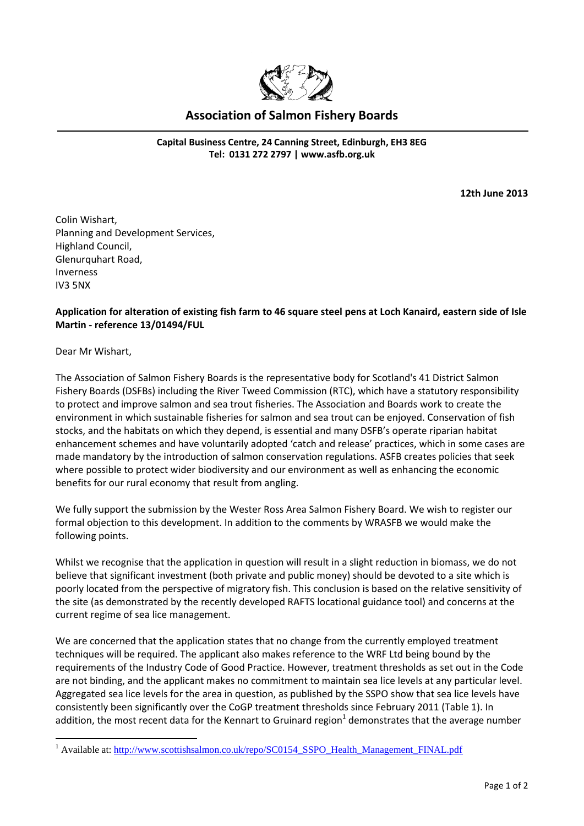

## **Association of Salmon Fishery Boards**

**Capital Business Centre, 24 Canning Street, Edinburgh, EH3 8EG Tel: 0131 272 2797 | [www.asfb.org.uk](http://www.asfb.org.uk/)**

**12th June 2013** 

Colin Wishart, Planning and Development Services, Highland Council, Glenurquhart Road, Inverness IV3 5NX

## **Application for alteration of existing fish farm to 46 square steel pens at Loch Kanaird, eastern side of Isle Martin - reference 13/01494/FUL**

Dear Mr Wishart,

1

The Association of Salmon Fishery Boards is the representative body for Scotland's 41 District Salmon Fishery Boards (DSFBs) including the River Tweed Commission (RTC), which have a statutory responsibility to protect and improve salmon and sea trout fisheries. The Association and Boards work to create the environment in which sustainable fisheries for salmon and sea trout can be enjoyed. Conservation of fish stocks, and the habitats on which they depend, is essential and many DSFB's operate riparian habitat enhancement schemes and have voluntarily adopted 'catch and release' practices, which in some cases are made mandatory by the introduction of salmon conservation regulations. ASFB creates policies that seek where possible to protect wider biodiversity and our environment as well as enhancing the economic benefits for our rural economy that result from angling.

We fully support the submission by the Wester Ross Area Salmon Fishery Board. We wish to register our formal objection to this development. In addition to the comments by WRASFB we would make the following points.

Whilst we recognise that the application in question will result in a slight reduction in biomass, we do not believe that significant investment (both private and public money) should be devoted to a site which is poorly located from the perspective of migratory fish. This conclusion is based on the relative sensitivity of the site (as demonstrated by the recently developed RAFTS locational guidance tool) and concerns at the current regime of sea lice management.

We are concerned that the application states that no change from the currently employed treatment techniques will be required. The applicant also makes reference to the WRF Ltd being bound by the requirements of the Industry Code of Good Practice. However, treatment thresholds as set out in the Code are not binding, and the applicant makes no commitment to maintain sea lice levels at any particular level. Aggregated sea lice levels for the area in question, as published by the SSPO show that sea lice levels have consistently been significantly over the CoGP treatment thresholds since February 2011 (Table 1). In addition, the most recent data for the Kennart to Gruinard region<sup>1</sup> demonstrates that the average number

<sup>&</sup>lt;sup>1</sup> Available at: [http://www.scottishsalmon.co.uk/repo/SC0154\\_SSPO\\_Health\\_Management\\_FINAL.pdf](http://www.scottishsalmon.co.uk/repo/SC0154_SSPO_Health_Management_FINAL.pdf)